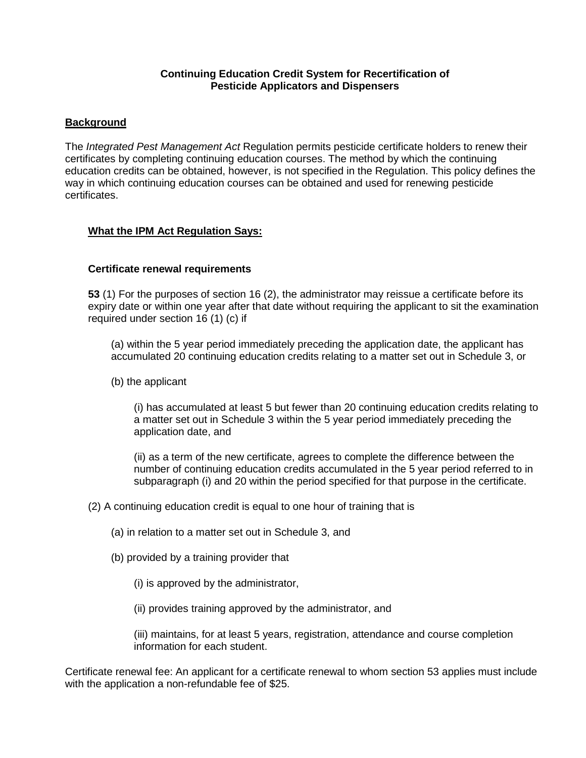#### **Continuing Education Credit System for Recertification of Pesticide Applicators and Dispensers**

#### **Background**

The *Integrated Pest Management Act* Regulation permits pesticide certificate holders to renew their certificates by completing continuing education courses. The method by which the continuing education credits can be obtained, however, is not specified in the Regulation. This policy defines the way in which continuing education courses can be obtained and used for renewing pesticide certificates.

### **What the IPM Act Regulation Says:**

#### **Certificate renewal requirements**

**53** (1) For the purposes of section 16 (2), the administrator may reissue a certificate before its expiry date or within one year after that date without requiring the applicant to sit the examination required under section 16 (1) (c) if

(a) within the 5 year period immediately preceding the application date, the applicant has accumulated 20 continuing education credits relating to a matter set out in Schedule 3, or

(b) the applicant

(i) has accumulated at least 5 but fewer than 20 continuing education credits relating to a matter set out in Schedule 3 within the 5 year period immediately preceding the application date, and

(ii) as a term of the new certificate, agrees to complete the difference between the number of continuing education credits accumulated in the 5 year period referred to in subparagraph (i) and 20 within the period specified for that purpose in the certificate.

(2) A continuing education credit is equal to one hour of training that is

- (a) in relation to a matter set out in Schedule 3, and
- (b) provided by a training provider that
	- (i) is approved by the administrator,

(ii) provides training approved by the administrator, and

(iii) maintains, for at least 5 years, registration, attendance and course completion information for each student.

Certificate renewal fee: An applicant for a certificate renewal to whom section 53 applies must include with the application a non-refundable fee of \$25.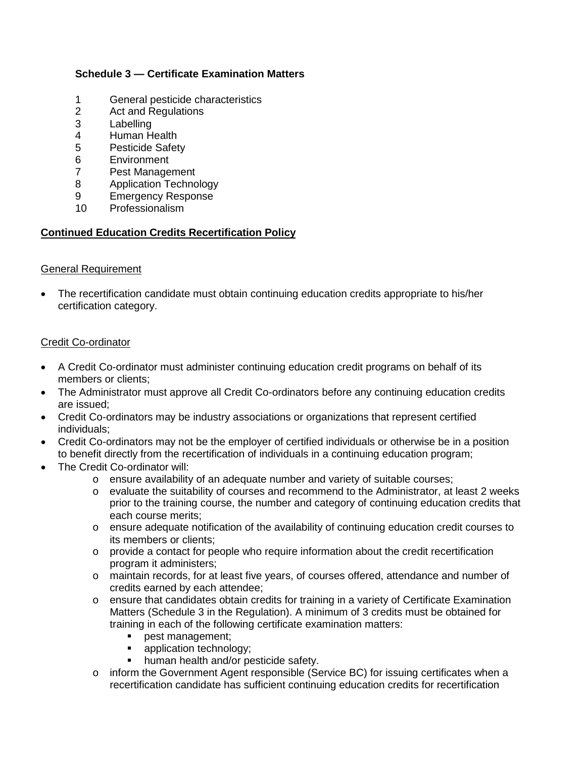# **Schedule 3 — Certificate Examination Matters**

- 1 General pesticide characteristics<br>2 Act and Regulations
- 2 Act and Regulations<br>3 Labelling
- 3 Labelling<br>4 Human H
- Human Health
- 5 Pesticide Safety
- 6 Environment
- 7 Pest Management
- 8 Application Technology
- 9 Emergency Response<br>10 Professionalism
- Professionalism

### **Continued Education Credits Recertification Policy**

#### General Requirement

• The recertification candidate must obtain continuing education credits appropriate to his/her certification category.

### Credit Co-ordinator

- A Credit Co-ordinator must administer continuing education credit programs on behalf of its members or clients;
- The Administrator must approve all Credit Co-ordinators before any continuing education credits are issued;
- Credit Co-ordinators may be industry associations or organizations that represent certified individuals;
- Credit Co-ordinators may not be the employer of certified individuals or otherwise be in a position to benefit directly from the recertification of individuals in a continuing education program;
- The Credit Co-ordinator will:
	- o ensure availability of an adequate number and variety of suitable courses;
	- o evaluate the suitability of courses and recommend to the Administrator, at least 2 weeks prior to the training course, the number and category of continuing education credits that each course merits;
	- o ensure adequate notification of the availability of continuing education credit courses to its members or clients;
	- $\circ$  provide a contact for people who require information about the credit recertification program it administers;
	- o maintain records, for at least five years, of courses offered, attendance and number of credits earned by each attendee;
	- o ensure that candidates obtain credits for training in a variety of Certificate Examination Matters (Schedule 3 in the Regulation). A minimum of 3 credits must be obtained for training in each of the following certificate examination matters:
		- pest management;
		- application technology;
		- human health and/or pesticide safety.
	- o inform the Government Agent responsible (Service BC) for issuing certificates when a recertification candidate has sufficient continuing education credits for recertification